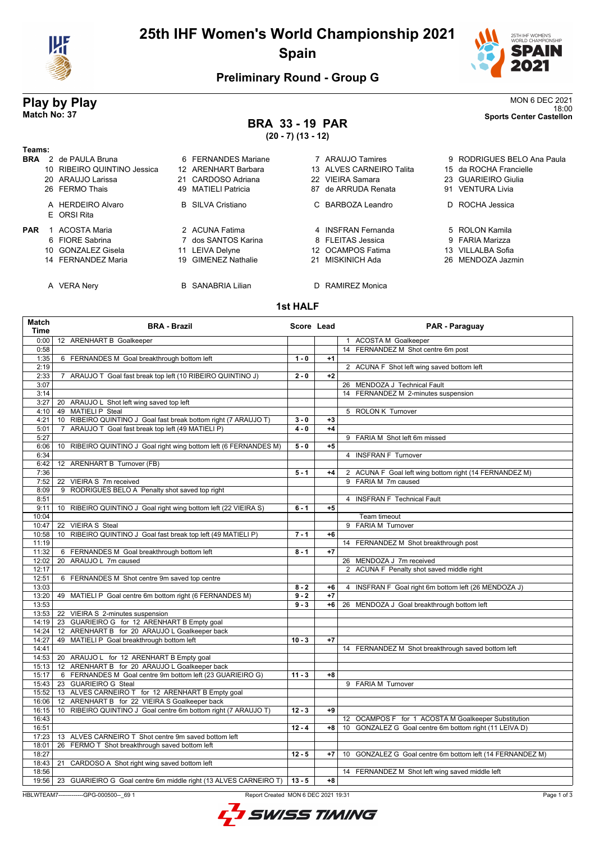

# **25th IHF Women's World Championship 2021 Spain**



## **Preliminary Round - Group G**

## **Play by Play** MON 6 DEC 2021 18:00 **Match No: 37 Sports Center Castellon**

# **BRA 33 - 19 PAR**

**(20 - 7) (13 - 12)**

| Teams:     |                                  |                          |    |                          |                            |
|------------|----------------------------------|--------------------------|----|--------------------------|----------------------------|
| <b>BRA</b> | 2 de PAULA Bruna                 | 6 FERNANDES Mariane      |    | 7 ARAUJO Tamires         | 9 RODRIGUES BELO Ana Paula |
|            | 10 RIBEIRO QUINTINO Jessica      | 12 ARENHART Barbara      |    | 13 ALVES CARNEIRO Talita | 15 da ROCHA Francielle     |
|            | 20 ARAUJO Larissa                | 21 CARDOSO Adriana       |    | 22 VIEIRA Samara         | 23 GUARIEIRO Giulia        |
|            | 26 FERMO Thais                   | 49 MATIELI Patricia      |    | 87 de ARRUDA Renata      | 91 VENTURA Livia           |
|            | A HERDEIRO Alvaro<br>E ORSI Rita | <b>B</b> SILVA Cristiano |    | C BARBOZA Leandro        | D ROCHA Jessica            |
| <b>PAR</b> | ACOSTA Maria                     | 2 ACUNA Fatima           |    | 4 INSFRAN Fernanda       | 5 ROLON Kamila             |
|            | 6 FIORE Sabrina                  | 7 dos SANTOS Karina      |    | 8 FLEITAS Jessica        | 9 FARIA Marizza            |
|            | 10 GONZALEZ Gisela               | 11 LEIVA Delyne          |    | 12 OCAMPOS Fatima        | 13 VILLALBA Sofia          |
|            | 14 FERNANDEZ Maria               | 19 GIMENEZ Nathalie      |    | MISKINICH Ada            | 26 MENDOZA Jazmin          |
|            | A VERA Nery                      | <b>B</b> SANABRIA Lilian | D. | RAMIREZ Monica           |                            |

# 15 da ROCHA Francielle 23 GUARIEIRO Giulia 91 VENTURA Livia D ROCHA Jessica 9 FARIA Marizza

## **1st HALF**

| Match<br>Time  | <b>BRA - Brazil</b>                                                                                        | Score Lead |      | PAR - Paraguay                                                                                                |
|----------------|------------------------------------------------------------------------------------------------------------|------------|------|---------------------------------------------------------------------------------------------------------------|
| 0:00           | 12 ARENHART B Goalkeeper                                                                                   |            |      | 1 ACOSTA M Goalkeeper                                                                                         |
| 0:58           |                                                                                                            |            |      | 14 FERNANDEZ M Shot centre 6m post                                                                            |
| 1:35           | 6 FERNANDES M Goal breakthrough bottom left                                                                | $1 - 0$    | $+1$ |                                                                                                               |
| 2:19           |                                                                                                            |            |      | 2 ACUNA F Shot left wing saved bottom left                                                                    |
| 2:33           | ARAUJO T Goal fast break top left (10 RIBEIRO QUINTINO J)<br>$\overline{7}$                                | $2 - 0$    | $+2$ |                                                                                                               |
| 3:07           |                                                                                                            |            |      | 26 MENDOZA J Technical Fault                                                                                  |
| 3:14           |                                                                                                            |            |      | 14 FERNANDEZ M 2-minutes suspension                                                                           |
| 3:27           | 20 ARAUJO L Shot left wing saved top left                                                                  |            |      |                                                                                                               |
| 4:10           | 49 MATIELI P Steal                                                                                         |            |      | 5 ROLON K Turnover                                                                                            |
| 4:21           | RIBEIRO QUINTINO J Goal fast break bottom right (7 ARAUJO T)<br>10 <sup>°</sup>                            | $3 - 0$    | $+3$ |                                                                                                               |
| 5:01           | ARAUJO T Goal fast break top left (49 MATIELI P)<br>$\overline{7}$                                         | $4 - 0$    | $+4$ |                                                                                                               |
| 5:27           |                                                                                                            |            |      | 9 FARIA M Shot left 6m missed                                                                                 |
| 6:06           | 10 RIBEIRO QUINTINO J Goal right wing bottom left (6 FERNANDES M)                                          | $5 - 0$    | $+5$ |                                                                                                               |
| 6:34           |                                                                                                            |            |      | 4 INSFRAN F Turnover                                                                                          |
| 6:42           | 12 ARENHART B Turnover (FB)                                                                                |            |      |                                                                                                               |
| 7:36           |                                                                                                            | $5 - 1$    | $+4$ | 2 ACUNA F Goal left wing bottom right (14 FERNANDEZ M)                                                        |
| 7:52           | 22 VIEIRA S 7m received                                                                                    |            |      | 9 FARIA M 7m caused                                                                                           |
| 8:09           | 9 RODRIGUES BELO A Penalty shot saved top right                                                            |            |      |                                                                                                               |
| 8:51           |                                                                                                            |            |      | 4 INSFRAN F Technical Fault                                                                                   |
| 9:11           | 10 RIBEIRO QUINTINO J Goal right wing bottom left (22 VIEIRA S)                                            | $6 - 1$    | $+5$ |                                                                                                               |
| 10:04          |                                                                                                            |            |      | Team timeout                                                                                                  |
| 10:47          | 22 VIEIRA S Steal                                                                                          |            |      | 9 FARIA M Turnover                                                                                            |
| 10:58          | 10 RIBEIRO QUINTINO J Goal fast break top left (49 MATIELI P)                                              | $7 - 1$    | $+6$ |                                                                                                               |
| 11:19          |                                                                                                            |            |      | 14 FERNANDEZ M Shot breakthrough post                                                                         |
| 11:32          | 6 FERNANDES M Goal breakthrough bottom left                                                                | $8 - 1$    | $+7$ |                                                                                                               |
| 12:02          | 20 ARAUJO L 7m caused                                                                                      |            |      | 26 MENDOZA J 7m received                                                                                      |
| 12:17          |                                                                                                            |            |      | 2 ACUNA F Penalty shot saved middle right                                                                     |
| 12:51          | 6 FERNANDES M Shot centre 9m saved top centre                                                              |            |      |                                                                                                               |
| 13:03          |                                                                                                            | $8 - 2$    | $+6$ | 4 INSFRAN F Goal right 6m bottom left (26 MENDOZA J)                                                          |
| 13:20          | 49 MATIELI P Goal centre 6m bottom right (6 FERNANDES M)                                                   | $9 - 2$    | $+7$ |                                                                                                               |
| 13:53          |                                                                                                            | $9 - 3$    | $+6$ | 26 MENDOZA J Goal breakthrough bottom left                                                                    |
| 13:53          | 22 VIEIRA S 2-minutes suspension                                                                           |            |      |                                                                                                               |
| 14:19          | 23 GUARIEIRO G for 12 ARENHART B Empty goal                                                                |            |      |                                                                                                               |
| 14:24          | 12 ARENHART B for 20 ARAUJO L Goalkeeper back                                                              |            |      |                                                                                                               |
| 14:27          | 49 MATIELI P Goal breakthrough bottom left                                                                 | $10 - 3$   | $+7$ |                                                                                                               |
| 14:41          |                                                                                                            |            |      | 14 FERNANDEZ M Shot breakthrough saved bottom left                                                            |
| 14:53          | 20 ARAUJO L for 12 ARENHART B Empty goal                                                                   |            |      |                                                                                                               |
| 15:13          | 12 ARENHART B for 20 ARAUJO L Goalkeeper back<br>6 FERNANDES M Goal centre 9m bottom left (23 GUARIEIRO G) | $11 - 3$   | $+8$ |                                                                                                               |
| 15:17          |                                                                                                            |            |      |                                                                                                               |
| 15:43          | 23 GUARIEIRO G Steal                                                                                       |            |      | 9 FARIA M Turnover                                                                                            |
| 15:52          | 13 ALVES CARNEIRO T for 12 ARENHART B Empty goal<br>12 ARENHART B for 22 VIEIRA S Goalkeeper back          |            |      |                                                                                                               |
| 16:06          |                                                                                                            | $12 - 3$   | $+9$ |                                                                                                               |
| 16:15<br>16:43 | 10 RIBEIRO QUINTINO J Goal centre 6m bottom right (7 ARAUJO T)                                             |            |      |                                                                                                               |
| 16:51          |                                                                                                            | $12 - 4$   | $+8$ | 12 OCAMPOS F for 1 ACOSTA M Goalkeeper Substitution<br>10 GONZALEZ G Goal centre 6m bottom right (11 LEIVA D) |
| 17:23          | 13 ALVES CARNEIRO T Shot centre 9m saved bottom left                                                       |            |      |                                                                                                               |
| 18:01          | 26 FERMO T Shot breakthrough saved bottom left                                                             |            |      |                                                                                                               |
| 18:27          |                                                                                                            | $12 - 5$   | $+7$ | 10 GONZALEZ G Goal centre 6m bottom left (14 FERNANDEZ M)                                                     |
| 18:43          |                                                                                                            |            |      |                                                                                                               |
| 18:56          | 21 CARDOSO A Shot right wing saved bottom left                                                             |            |      | 14 FERNANDEZ M Shot left wing saved middle left                                                               |
|                | 19:56   23 GUARIEIRO G Goal centre 6m middle right (13 ALVES CARNEIRO T)                                   | $13 - 5$   | $+8$ |                                                                                                               |
|                |                                                                                                            |            |      |                                                                                                               |

HBLWTEAM7-------------GPG-000500--\_69 1 Report Created MON 6 DEC 2021 19:31

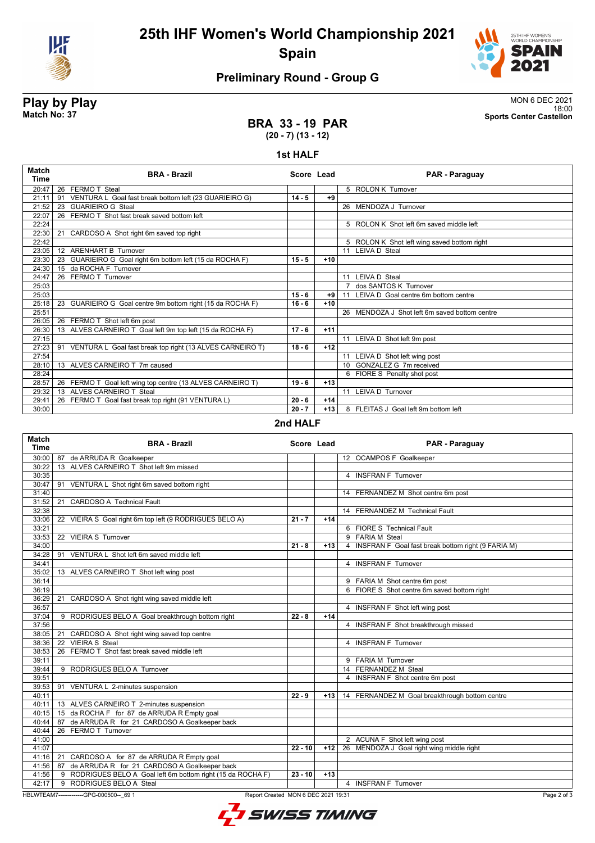

# **25th IHF Women's World Championship 2021 Spain**



## **Preliminary Round - Group G**

**Play by Play**<br>MON 6 DEC 2021<br>Sports Center Castellon<br>Sports Center Castellon 18:00 **Match No: 37 Sports Center Castellon**

### **BRA 33 - 19 PAR (20 - 7) (13 - 12)**

### **1st HALF**

| <b>Match</b><br>Time | <b>BRA - Brazil</b>                                             | Score Lead |       | PAR - Paraguay                                |
|----------------------|-----------------------------------------------------------------|------------|-------|-----------------------------------------------|
| 20:47                | 26 FERMO T Steal                                                |            |       | 5 ROLON K Turnover                            |
| 21:11                | VENTURA L Goal fast break bottom left (23 GUARIEIRO G)<br>91    | $14 - 5$   | $+9$  |                                               |
| 21:52                | <b>GUARIEIRO G Steal</b><br>23                                  |            |       | 26 MENDOZA J Turnover                         |
| 22:07                | FERMO T Shot fast break saved bottom left<br>26                 |            |       |                                               |
| 22:24                |                                                                 |            |       | 5 ROLON K Shot left 6m saved middle left      |
| 22:30                | CARDOSO A Shot right 6m saved top right<br>21                   |            |       |                                               |
| 22:42                |                                                                 |            |       | 5 ROLON K Shot left wing saved bottom right   |
| 23:05                | 12 ARENHART B Turnover                                          |            |       | 11 LEIVA D Steal                              |
| 23:30                | 23 GUARIEIRO G Goal right 6m bottom left (15 da ROCHA F)        | $15 - 5$   | $+10$ |                                               |
| 24:30                | 15 da ROCHA F Turnover                                          |            |       |                                               |
| 24:47                | 26 FERMO T Turnover                                             |            |       | 11 LEIVA D Steal                              |
| 25:03                |                                                                 |            |       | 7 dos SANTOS K Turnover                       |
| 25:03                |                                                                 | $15 - 6$   | $+91$ | 11 LEIVA D Goal centre 6m bottom centre       |
| 25:18                | 23 GUARIEIRO G Goal centre 9m bottom right (15 da ROCHA F)      | $16 - 6$   | $+10$ |                                               |
| 25:51                |                                                                 |            |       | 26 MENDOZA J Shot left 6m saved bottom centre |
| 26:05                | 26 FERMO T Shot left 6m post                                    |            |       |                                               |
| 26:30                | 13 ALVES CARNEIRO T Goal left 9m top left (15 da ROCHA F)       | $17 - 6$   | $+11$ |                                               |
| 27:15                |                                                                 |            |       | 11 LEIVA D Shot left 9m post                  |
| 27:23                | VENTURA L Goal fast break top right (13 ALVES CARNEIRO T)<br>91 | $18 - 6$   | $+12$ |                                               |
| 27:54                |                                                                 |            |       | 11 LEIVA D Shot left wing post                |
| 28:10                | 13 ALVES CARNEIRO T 7m caused                                   |            |       | 10 GONZALEZ G 7m received                     |
| 28:24                |                                                                 |            |       | 6 FIORE S Penalty shot post                   |
| 28:57                | FERMO T Goal left wing top centre (13 ALVES CARNEIRO T)<br>26   | $19 - 6$   | $+13$ |                                               |
| 29:32                | ALVES CARNEIRO T Steal<br>13                                    |            |       | 11 LEIVA D Turnover                           |
| 29:41                | 26 FERMO T Goal fast break top right (91 VENTURA L)             | $20 - 6$   | $+14$ |                                               |
| 30:00                |                                                                 | $20 - 7$   | $+13$ | 8 FLEITAS J Goal left 9m bottom left          |

### **2nd HALF**

| <b>Match</b><br><b>Time</b> | <b>BRA - Brazil</b>                                                             | Score Lead |       | PAR - Paraguay                                       |
|-----------------------------|---------------------------------------------------------------------------------|------------|-------|------------------------------------------------------|
| 30:00                       | 87 de ARRUDA R Goalkeeper                                                       |            |       | 12 OCAMPOS F Goalkeeper                              |
| 30:22                       | 13 ALVES CARNEIRO T Shot left 9m missed                                         |            |       |                                                      |
| 30:35                       |                                                                                 |            |       | 4 INSFRAN F Turnover                                 |
| 30:47                       | 91 VENTURA L Shot right 6m saved bottom right                                   |            |       |                                                      |
| 31:40                       |                                                                                 |            |       | 14 FERNANDEZ M Shot centre 6m post                   |
| 31:52                       | <b>CARDOSO A Technical Fault</b><br>21                                          |            |       |                                                      |
| 32:38                       |                                                                                 |            |       | 14 FERNANDEZ M Technical Fault                       |
| 33:06                       | 22 VIEIRA S Goal right 6m top left (9 RODRIGUES BELO A)                         | $21 - 7$   | $+14$ |                                                      |
| 33:21                       |                                                                                 |            |       | 6 FIORE S Technical Fault                            |
| 33:53                       | 22 VIEIRA S Turnover                                                            |            |       | 9 FARIA M Steal                                      |
| 34:00                       |                                                                                 | $21 - 8$   | $+13$ | 4 INSFRAN F Goal fast break bottom right (9 FARIA M) |
| 34:28                       | 91 VENTURA L Shot left 6m saved middle left                                     |            |       |                                                      |
| 34:41                       |                                                                                 |            |       | 4 INSFRAN F Turnover                                 |
| 35:02                       | 13 ALVES CARNEIRO T Shot left wing post                                         |            |       |                                                      |
| 36:14                       |                                                                                 |            |       | 9 FARIA M Shot centre 6m post                        |
| 36:19                       |                                                                                 |            |       | 6 FIORE S Shot centre 6m saved bottom right          |
| 36:29                       | 21 CARDOSO A Shot right wing saved middle left                                  |            |       |                                                      |
| 36:57                       |                                                                                 |            |       | 4 INSFRAN F Shot left wing post                      |
| 37:04                       | 9 RODRIGUES BELO A Goal breakthrough bottom right                               | $22 - 8$   | $+14$ |                                                      |
| 37:56                       |                                                                                 |            |       | 4 INSFRAN F Shot breakthrough missed                 |
| 38:05                       | 21<br>CARDOSO A Shot right wing saved top centre                                |            |       |                                                      |
| 38:36                       | 22 VIEIRA S Steal                                                               |            |       | 4 INSFRAN F Turnover                                 |
| 38:53                       | 26 FERMO T Shot fast break saved middle left                                    |            |       |                                                      |
| 39:11                       |                                                                                 |            |       | 9 FARIA M Turnover                                   |
| 39:44                       | 9 RODRIGUES BELO A Turnover                                                     |            |       | 14 FERNANDEZ M Steal                                 |
| 39:51                       |                                                                                 |            |       | 4 INSFRAN F Shot centre 6m post                      |
| 39:53                       | 91 VENTURA L 2-minutes suspension                                               |            |       |                                                      |
| 40:11                       |                                                                                 | $22 - 9$   | $+13$ | 14 FERNANDEZ M Goal breakthrough bottom centre       |
| 40:11                       | 13 ALVES CARNEIRO T 2-minutes suspension                                        |            |       |                                                      |
| 40:15                       | 15 da ROCHA F for 87 de ARRUDA R Empty goal                                     |            |       |                                                      |
| 40:44                       | 87 de ARRUDA R for 21 CARDOSO A Goalkeeper back                                 |            |       |                                                      |
| 40:44                       | 26 FERMO T Turnover                                                             |            |       |                                                      |
| 41:00                       |                                                                                 |            |       | 2 ACUNA F Shot left wing post                        |
| 41:07                       |                                                                                 | $22 - 10$  | $+12$ | MENDOZA J Goal right wing middle right<br>26         |
|                             | 41:16   21 CARDOSO A for 87 de ARRUDA R Empty goal                              |            |       |                                                      |
|                             | 41:56   87 de ARRUDA R for 21 CARDOSO A Goalkeeper back                         |            |       |                                                      |
| 41:56                       | 9 RODRIGUES BELO A Goal left 6m bottom right (15 da ROCHA F)                    | $23 - 10$  | $+13$ |                                                      |
| 42:17                       | 9 RODRIGUES BELO A Steal                                                        |            |       | <b>INSFRAN F Turnover</b><br>$\overline{4}$          |
|                             | HBLWTEAM7--------------GPG-000500-- 69 1<br>Report Created MON 6 DEC 2021 19:31 |            |       | Page 2 of                                            |
|                             |                                                                                 |            |       |                                                      |